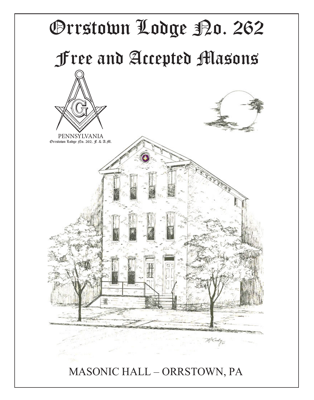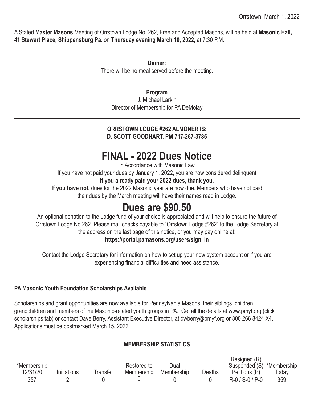A Stated **Master Masons** Meeting of Orrstown Lodge No. 262, Free and Accepted Masons, will be held at **Masonic Hall, 41 Stewart Place, Shippensburg Pa.** on **Thursday evening March 10, 2022,** at 7:30 P.M.

> **Dinner:** There will be no meal served before the meeting.

#### **Program**

J. Michael Larkin Director of Membership for PA DeMolay

#### **ORRSTOWN LODGE #262 ALMONER IS: D. SCOTT GOODHART, PM 717-267-3785**

# **FINAL - 2022 Dues Notice**

In Accordance with Masonic Law

If you have not paid your dues by January 1, 2022, you are now considered delinquent

**If you already paid your 2022 dues, thank you.**

**If you have not,** dues for the 2022 Masonic year are now due. Members who have not paid their dues by the March meeting will have their names read in Lodge.

# **Dues are \$90.50**

An optional donation to the Lodge fund of your choice is appreciated and will help to ensure the future of Orrstown Lodge No 262. Please mail checks payable to "Orrstown Lodge #262" to the Lodge Secretary at the address on the last page of this notice, or you may pay online at:

## **https://portal.pamasons.org/users/sign\_in**

Contact the Lodge Secretary for information on how to set up your new system account or if you are experiencing financial difficulties and need assistance.

## **PA Masonic Youth Foundation Scholarships Available**

Scholarships and grant opportunities are now available for Pennsylvania Masons, their siblings, children, grandchildren and members of the Masonic-related youth groups in PA. Get all the details at www.pmyf.org (click scholarships tab) or contact Dave Berry, Assistant Executive Director, at dwberry@pmyf.org or 800 266 8424 X4. Applications must be postmarked March 15, 2022.

## **MEMBERSHIP STATISTICS**

|             |             |          |             |            |        | Resigned (R)              |       |
|-------------|-------------|----------|-------------|------------|--------|---------------------------|-------|
| *Membership |             |          | Restored to | Dual       |        | Suspended (S) *Membership |       |
| 12/31/20    | Initiations | Transfer | Membership  | Membership | Deaths | Petitions (P)             | Todav |
| 357         |             |          |             |            |        | $R - 0 / S - 0 / P - 0$   | 359   |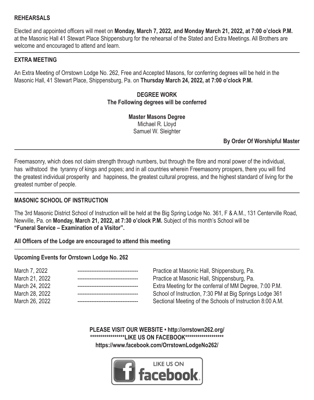#### **REHEARSALS**

Elected and appointed officers will meet on **Monday, March 7, 2022, and Monday March 21, 2022, at 7:00 o'clock P.M.** at the Masonic Hall 41 Stewart Place Shippensburg for the rehearsal of the Stated and Extra Meetings. All Brothers are welcome and encouraged to attend and learn.

#### **EXTRA MEETING**

An Extra Meeting of Orrstown Lodge No. 262, Free and Accepted Masons, for conferring degrees will be held in the Masonic Hall, 41 Stewart Place, Shippensburg, Pa. on **Thursday March 24, 2022, at 7:00 o'clock P.M.** 

#### **DEGREE WORK The Following degrees will be conferred**

**Master Masons Degree** Michael R. Lloyd Samuel W. Sleighter

**By Order Of Worshipful Master**

Freemasonry, which does not claim strength through numbers, but through the fibre and moral power of the individual, has withstood the tyranny of kings and popes; and in all countries wherein Freemasonry prospers, there you will find the greatest individual prosperity and happiness, the greatest cultural progress, and the highest standard of living for the greatest number of people.

#### **MASONIC SCHOOL OF INSTRUCTION**

The 3rd Masonic District School of Instruction will be held at the Big Spring Lodge No. 361, F & A.M., 131 Centerville Road, Newville, Pa. on **Monday, March 21, 2022, at 7:30 o'clock P.M.** Subject of this month's School will be **"Funeral Service – Examination of a Visitor".**

#### **All Officers of the Lodge are encouraged to attend this meeting**

#### **Upcoming Events for Orrstown Lodge No. 262**

| March 7, 2022  |  |
|----------------|--|
| March 21, 2022 |  |
| March 24, 2022 |  |
| March 28, 2022 |  |
| March 26, 2022 |  |

Practice at Masonic Hall, Shippensburg, Pa. Practice at Masonic Hall, Shippensburg, Pa. Extra Meeting for the conferral of MM Degree, 7:00 P.M. School of Instruction, 7:30 PM at Big Springs Lodge 361 Sectional Meeting of the Schools of Instruction 8:00 A.M.

**PLEASE VISIT OUR WEBSITE • http://orrstown262.org/ \*\*\*\*\*\*\*\*\*\*\*\*\*\*\*\*\*LIKE US ON FACEBOOK\*\*\*\*\*\*\*\*\*\*\*\*\*\*\*\*\*\*\* https://www.facebook.com/OrrstownLodgeNo262/**

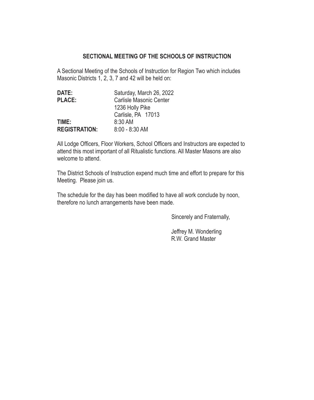#### **SECTIONAL MEETING OF THE SCHOOLS OF INSTRUCTION**

A Sectional Meeting of the Schools of Instruction for Region Two which includes Masonic Districts 1, 2, 3, 7 and 42 will be held on:

| DATE:                | Saturday, March 26, 2022 |
|----------------------|--------------------------|
| PLACE:               | Carlisle Masonic Center  |
|                      | 1236 Holly Pike          |
|                      | Carlisle, PA 17013       |
| TIME:                | 8:30 AM                  |
| <b>REGISTRATION:</b> | $8:00 - 8:30$ AM         |

All Lodge Officers, Floor Workers, School Officers and Instructors are expected to attend this most important of all Ritualistic functions. All Master Masons are also welcome to attend.

The District Schools of Instruction expend much time and effort to prepare for this Meeting. Please join us.

The schedule for the day has been modified to have all work conclude by noon, therefore no lunch arrangements have been made.

Sincerely and Fraternally,

 Jeffrey M. Wonderling R.W. Grand Master